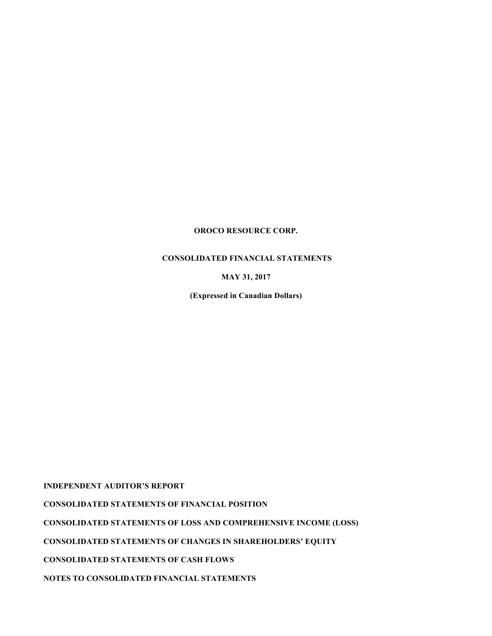## **CONSOLIDATED FINANCIAL STATEMENTS**

**MAY 31, 2017**

**(Expressed in Canadian Dollars)**

**INDEPENDENT AUDITOR'S REPORT** 

**CONSOLIDATED STATEMENTS OF FINANCIAL POSITION** 

**CONSOLIDATED STATEMENTS OF LOSS AND COMPREHENSIVE INCOME (LOSS)** 

**CONSOLIDATED STATEMENTS OF CHANGES IN SHAREHOLDERS' EQUITY** 

**CONSOLIDATED STATEMENTS OF CASH FLOWS** 

**NOTES TO CONSOLIDATED FINANCIAL STATEMENTS**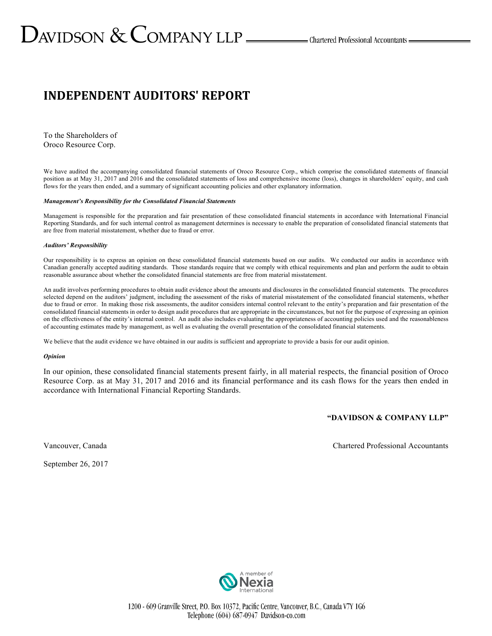# **INDEPENDENT AUDITORS' REPORT**

To the Shareholders of Oroco Resource Corp.

We have audited the accompanying consolidated financial statements of Oroco Resource Corp., which comprise the consolidated statements of financial position as at May 31, 2017 and 2016 and the consolidated statements of loss and comprehensive income (loss), changes in shareholders' equity, and cash flows for the years then ended, and a summary of significant accounting policies and other explanatory information.

#### *Management's Responsibility for the Consolidated Financial Statements*

Management is responsible for the preparation and fair presentation of these consolidated financial statements in accordance with International Financial Reporting Standards, and for such internal control as management determines is necessary to enable the preparation of consolidated financial statements that are free from material misstatement, whether due to fraud or error.

#### *Auditors' Responsibility*

Our responsibility is to express an opinion on these consolidated financial statements based on our audits. We conducted our audits in accordance with Canadian generally accepted auditing standards. Those standards require that we comply with ethical requirements and plan and perform the audit to obtain reasonable assurance about whether the consolidated financial statements are free from material misstatement.

An audit involves performing procedures to obtain audit evidence about the amounts and disclosures in the consolidated financial statements. The procedures selected depend on the auditors' judgment, including the assessment of the risks of material misstatement of the consolidated financial statements, whether due to fraud or error. In making those risk assessments, the auditor considers internal control relevant to the entity's preparation and fair presentation of the consolidated financial statements in order to design audit procedures that are appropriate in the circumstances, but not for the purpose of expressing an opinion on the effectiveness of the entity's internal control. An audit also includes evaluating the appropriateness of accounting policies used and the reasonableness of accounting estimates made by management, as well as evaluating the overall presentation of the consolidated financial statements.

We believe that the audit evidence we have obtained in our audits is sufficient and appropriate to provide a basis for our audit opinion.

#### *Opinion*

In our opinion, these consolidated financial statements present fairly, in all material respects, the financial position of Oroco Resource Corp. as at May 31, 2017 and 2016 and its financial performance and its cash flows for the years then ended in accordance with International Financial Reporting Standards.

## **"DAVIDSON & COMPANY LLP"**

Vancouver, Canada Chartered Professional Accountants

September 26, 2017

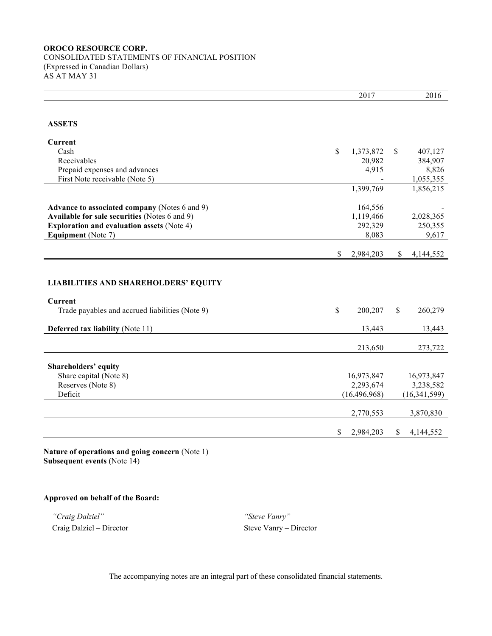CONSOLIDATED STATEMENTS OF FINANCIAL POSITION (Expressed in Canadian Dollars) AS AT MAY 31

|                                                   | 2017         |                |    | 2016           |
|---------------------------------------------------|--------------|----------------|----|----------------|
|                                                   |              |                |    |                |
| <b>ASSETS</b>                                     |              |                |    |                |
| <b>Current</b>                                    |              |                |    |                |
| Cash                                              | \$           | 1,373,872      | \$ | 407,127        |
| Receivables                                       |              | 20,982         |    | 384,907        |
| Prepaid expenses and advances                     |              | 4,915          |    | 8,826          |
| First Note receivable (Note 5)                    |              |                |    | 1,055,355      |
|                                                   |              | 1,399,769      |    | 1,856,215      |
| Advance to associated company (Notes 6 and 9)     |              | 164,556        |    |                |
| Available for sale securities (Notes 6 and 9)     |              | 1,119,466      |    | 2,028,365      |
| <b>Exploration and evaluation assets (Note 4)</b> |              | 292,329        |    | 250,355        |
| <b>Equipment</b> (Note 7)                         |              | 8,083          |    | 9,617          |
|                                                   |              |                |    |                |
|                                                   | $\mathbb{S}$ | 2,984,203      | \$ | 4,144,552      |
|                                                   |              |                |    |                |
| <b>LIABILITIES AND SHAREHOLDERS' EQUITY</b>       |              |                |    |                |
| Current                                           |              |                |    |                |
| Trade payables and accrued liabilities (Note 9)   | \$           | 200,207        | \$ | 260,279        |
|                                                   |              |                |    |                |
| Deferred tax liability (Note 11)                  |              | 13,443         |    | 13,443         |
|                                                   |              | 213,650        |    | 273,722        |
|                                                   |              |                |    |                |
| Shareholders' equity                              |              |                |    |                |
| Share capital (Note 8)                            |              | 16,973,847     |    | 16,973,847     |
| Reserves (Note 8)                                 |              | 2,293,674      |    | 3,238,582      |
| Deficit                                           |              | (16, 496, 968) |    | (16, 341, 599) |
|                                                   |              | 2,770,553      |    | 3,870,830      |
|                                                   |              |                |    |                |
|                                                   | \$           | 2,984,203      | S  | 4,144,552      |

**Nature of operations and going concern** (Note 1) **Subsequent events** (Note 14)

## **Approved on behalf of the Board:**

*"Craig Dalziel" "Steve Vanry"*

Craig Dalziel – Director Steve Vanry – Director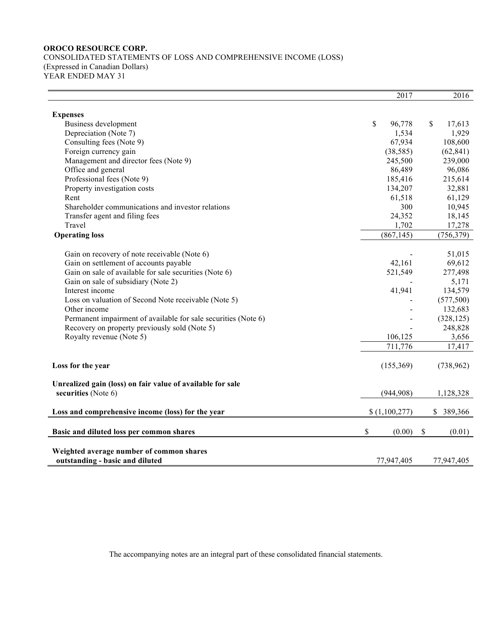CONSOLIDATED STATEMENTS OF LOSS AND COMPREHENSIVE INCOME (LOSS) (Expressed in Canadian Dollars) YEAR ENDED MAY 31

|                                                                | 2017    |               |               | 2016       |
|----------------------------------------------------------------|---------|---------------|---------------|------------|
|                                                                |         |               |               |            |
| <b>Expenses</b>                                                |         |               |               |            |
| Business development                                           | \$      | 96,778        | S             | 17,613     |
| Depreciation (Note 7)                                          |         | 1,534         |               | 1,929      |
| Consulting fees (Note 9)                                       |         | 67,934        |               | 108,600    |
| Foreign currency gain                                          |         | (38, 585)     |               | (62, 841)  |
| Management and director fees (Note 9)                          |         | 245,500       |               | 239,000    |
| Office and general                                             |         | 86,489        |               | 96,086     |
| Professional fees (Note 9)                                     |         | 185,416       |               | 215,614    |
| Property investigation costs                                   |         | 134,207       |               | 32,881     |
| Rent                                                           |         | 61,518        |               | 61,129     |
| Shareholder communications and investor relations              |         | 300           |               | 10,945     |
| Transfer agent and filing fees                                 |         | 24,352        |               | 18,145     |
| Travel                                                         |         | 1,702         |               | 17,278     |
| <b>Operating loss</b>                                          |         | (867, 145)    |               | (756, 379) |
|                                                                |         |               |               |            |
| Gain on recovery of note receivable (Note 6)                   |         |               |               | 51,015     |
| Gain on settlement of accounts payable                         |         | 42,161        |               | 69,612     |
| Gain on sale of available for sale securities (Note 6)         | 521,549 |               |               | 277,498    |
| Gain on sale of subsidiary (Note 2)                            |         |               |               | 5,171      |
| Interest income                                                | 41,941  |               |               | 134,579    |
| Loss on valuation of Second Note receivable (Note 5)           |         |               |               | (577, 500) |
| Other income                                                   |         |               |               | 132,683    |
| Permanent impairment of available for sale securities (Note 6) |         |               |               | (328, 125) |
| Recovery on property previously sold (Note 5)                  |         |               |               | 248,828    |
| Royalty revenue (Note 5)                                       |         | 106,125       |               | 3,656      |
|                                                                |         | 711,776       |               | 17,417     |
|                                                                |         |               |               |            |
| Loss for the year                                              |         | (155,369)     |               | (738, 962) |
|                                                                |         |               |               |            |
| Unrealized gain (loss) on fair value of available for sale     |         |               |               |            |
| securities (Note 6)                                            |         | (944,908)     |               | 1,128,328  |
| Loss and comprehensive income (loss) for the year              |         | \$(1,100,277) |               | \$ 389,366 |
| Basic and diluted loss per common shares                       | \$      | (0.00)        | <sup>\$</sup> | (0.01)     |
|                                                                |         |               |               |            |
| Weighted average number of common shares                       |         |               |               |            |
| outstanding - basic and diluted                                |         | 77,947,405    |               | 77,947,405 |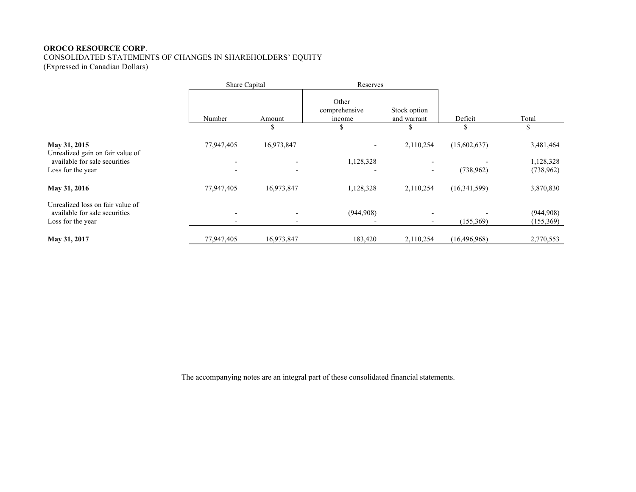CONSOLIDATED STATEMENTS OF CHANGES IN SHAREHOLDERS' EQUITY (Expressed in Canadian Dollars)

|                                                                                        | Share Capital                                            |                                                      | Reserves                         |                             |                |                         |
|----------------------------------------------------------------------------------------|----------------------------------------------------------|------------------------------------------------------|----------------------------------|-----------------------------|----------------|-------------------------|
|                                                                                        | Number                                                   | Amount                                               | Other<br>comprehensive<br>income | Stock option<br>and warrant | Deficit        | Total                   |
|                                                                                        |                                                          | \$                                                   | ъ                                |                             | \$             | \$                      |
| May 31, 2015<br>Unrealized gain on fair value of                                       | 77,947,405                                               | 16,973,847                                           | $\overline{\phantom{a}}$         | 2,110,254                   | (15,602,637)   | 3,481,464               |
| available for sale securities<br>Loss for the year                                     | $\overline{\phantom{a}}$<br>-                            | $\overline{\phantom{a}}$<br>$\overline{\phantom{a}}$ | 1,128,328                        | $\overline{\phantom{a}}$    | (738, 962)     | 1,128,328<br>(738, 962) |
| May 31, 2016                                                                           | 77,947,405                                               | 16,973,847                                           | 1,128,328                        | 2,110,254                   | (16,341,599)   | 3,870,830               |
| Unrealized loss on fair value of<br>available for sale securities<br>Loss for the year | $\overline{\phantom{a}}$<br>$\qquad \qquad \blacksquare$ | $\overline{\phantom{a}}$                             | (944,908)                        | $\overline{\phantom{a}}$    | (155,369)      | (944,908)<br>(155,369)  |
| May 31, 2017                                                                           | 77,947,405                                               | 16,973,847                                           | 183,420                          | 2,110,254                   | (16, 496, 968) | 2,770,553               |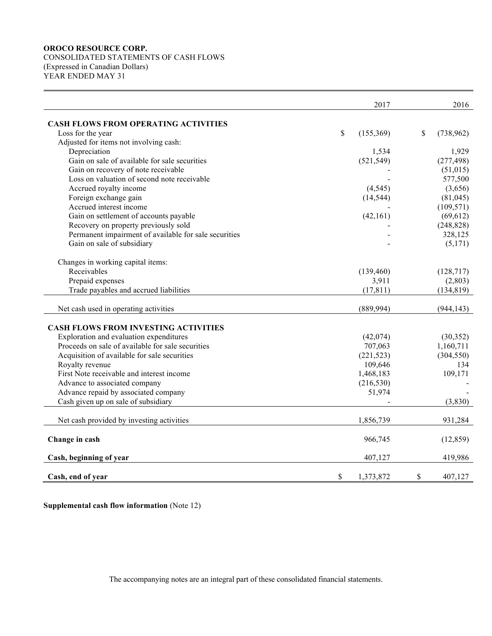CONSOLIDATED STATEMENTS OF CASH FLOWS (Expressed in Canadian Dollars) YEAR ENDED MAY 31

|                                                       |              | 2017       | 2016             |
|-------------------------------------------------------|--------------|------------|------------------|
| <b>CASH FLOWS FROM OPERATING ACTIVITIES</b>           |              |            |                  |
| Loss for the year                                     | $\mathbb{S}$ | (155,369)  | \$<br>(738, 962) |
| Adjusted for items not involving cash:                |              |            |                  |
| Depreciation                                          |              | 1,534      | 1,929            |
| Gain on sale of available for sale securities         |              | (521, 549) | (277, 498)       |
| Gain on recovery of note receivable                   |              |            | (51, 015)        |
| Loss on valuation of second note receivable           |              |            | 577,500          |
| Accrued royalty income                                |              | (4, 545)   | (3,656)          |
| Foreign exchange gain                                 |              | (14, 544)  | (81, 045)        |
| Accrued interest income                               |              |            | (109, 571)       |
| Gain on settlement of accounts payable                |              | (42, 161)  | (69, 612)        |
| Recovery on property previously sold                  |              |            | (248, 828)       |
| Permanent impairment of available for sale securities |              |            | 328,125          |
| Gain on sale of subsidiary                            |              |            | (5,171)          |
| Changes in working capital items:                     |              |            |                  |
| Receivables                                           |              | (139, 460) | (128, 717)       |
| Prepaid expenses                                      |              | 3,911      | (2,803)          |
| Trade payables and accrued liabilities                |              | (17, 811)  | (134, 819)       |
| Net cash used in operating activities                 |              | (889, 994) | (944, 143)       |
| <b>CASH FLOWS FROM INVESTING ACTIVITIES</b>           |              |            |                  |
| Exploration and evaluation expenditures               |              | (42,074)   | (30, 352)        |
| Proceeds on sale of available for sale securities     |              | 707,063    | 1,160,711        |
| Acquisition of available for sale securities          |              | (221, 523) | (304, 550)       |
| Royalty revenue                                       |              | 109,646    | 134              |
| First Note receivable and interest income             |              | 1,468,183  | 109,171          |
| Advance to associated company                         |              | (216, 530) |                  |
| Advance repaid by associated company                  |              | 51,974     |                  |
| Cash given up on sale of subsidiary                   |              |            | (3,830)          |
| Net cash provided by investing activities             |              | 1,856,739  | 931,284          |
| Change in cash                                        |              | 966,745    | (12, 859)        |
| Cash, beginning of year                               |              | 407,127    | 419,986          |
| Cash, end of year                                     | \$           | 1,373,872  | \$<br>407,127    |

**Supplemental cash flow information** (Note 12)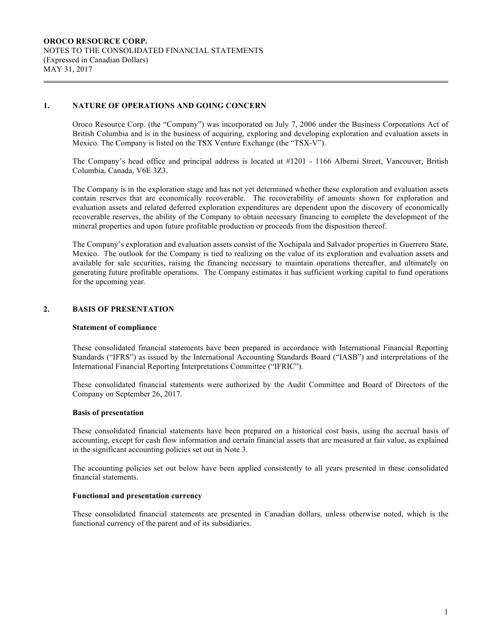## **1. NATURE OF OPERATIONS AND GOING CONCERN**

Oroco Resource Corp. (the "Company") was incorporated on July 7, 2006 under the Business Corporations Act of British Columbia and is in the business of acquiring, exploring and developing exploration and evaluation assets in Mexico. The Company is listed on the TSX Venture Exchange (the "TSX-V").

The Company's head office and principal address is located at #1201 - 1166 Alberni Street, Vancouver, British Columbia, Canada, V6E 3Z3.

The Company is in the exploration stage and has not yet determined whether these exploration and evaluation assets contain reserves that are economically recoverable. The recoverability of amounts shown for exploration and evaluation assets and related deferred exploration expenditures are dependent upon the discovery of economically recoverable reserves, the ability of the Company to obtain necessary financing to complete the development of the mineral properties and upon future profitable production or proceeds from the disposition thereof.

The Company's exploration and evaluation assets consist of the Xochipala and Salvador properties in Guerrero State, Mexico. The outlook for the Company is tied to realizing on the value of its exploration and evaluation assets and available for sale securities, raising the financing necessary to maintain operations thereafter, and ultimately on generating future profitable operations. The Company estimates it has sufficient working capital to fund operations for the upcoming year.

## **2. BASIS OF PRESENTATION**

## **Statement of compliance**

These consolidated financial statements have been prepared in accordance with International Financial Reporting Standards ("IFRS") as issued by the International Accounting Standards Board ("IASB") and interpretations of the International Financial Reporting Interpretations Committee ("IFRIC").

These consolidated financial statements were authorized by the Audit Committee and Board of Directors of the Company on September 26, 2017.

#### **Basis of presentation**

These consolidated financial statements have been prepared on a historical cost basis, using the accrual basis of accounting, except for cash flow information and certain financial assets that are measured at fair value, as explained in the significant accounting policies set out in Note 3.

The accounting policies set out below have been applied consistently to all years presented in these consolidated financial statements.

#### **Functional and presentation currency**

These consolidated financial statements are presented in Canadian dollars, unless otherwise noted, which is the functional currency of the parent and of its subsidiaries.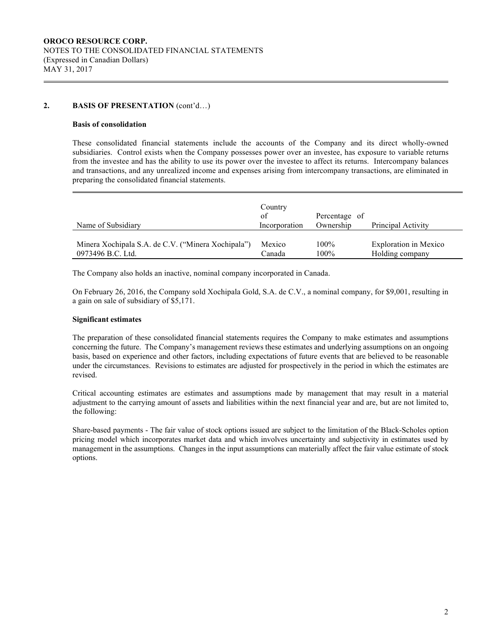## **2. BASIS OF PRESENTATION** (cont'd…)

#### **Basis of consolidation**

These consolidated financial statements include the accounts of the Company and its direct wholly-owned subsidiaries. Control exists when the Company possesses power over an investee, has exposure to variable returns from the investee and has the ability to use its power over the investee to affect its returns. Intercompany balances and transactions, and any unrealized income and expenses arising from intercompany transactions, are eliminated in preparing the consolidated financial statements.

| Name of Subsidiary                                 | Country<br>of<br>Incorporation | Percentage of<br>Ownership | Principal Activity           |
|----------------------------------------------------|--------------------------------|----------------------------|------------------------------|
| Minera Xochipala S.A. de C.V. ("Minera Xochipala") | Mexico                         | $100\%$                    | <b>Exploration</b> in Mexico |
| 0973496 B.C. Ltd.                                  | Canada                         | $100\%$                    | Holding company              |

The Company also holds an inactive, nominal company incorporated in Canada.

On February 26, 2016, the Company sold Xochipala Gold, S.A. de C.V., a nominal company, for \$9,001, resulting in a gain on sale of subsidiary of \$5,171.

#### **Significant estimates**

The preparation of these consolidated financial statements requires the Company to make estimates and assumptions concerning the future. The Company's management reviews these estimates and underlying assumptions on an ongoing basis, based on experience and other factors, including expectations of future events that are believed to be reasonable under the circumstances. Revisions to estimates are adjusted for prospectively in the period in which the estimates are revised.

Critical accounting estimates are estimates and assumptions made by management that may result in a material adjustment to the carrying amount of assets and liabilities within the next financial year and are, but are not limited to, the following:

Share-based payments - The fair value of stock options issued are subject to the limitation of the Black-Scholes option pricing model which incorporates market data and which involves uncertainty and subjectivity in estimates used by management in the assumptions. Changes in the input assumptions can materially affect the fair value estimate of stock options.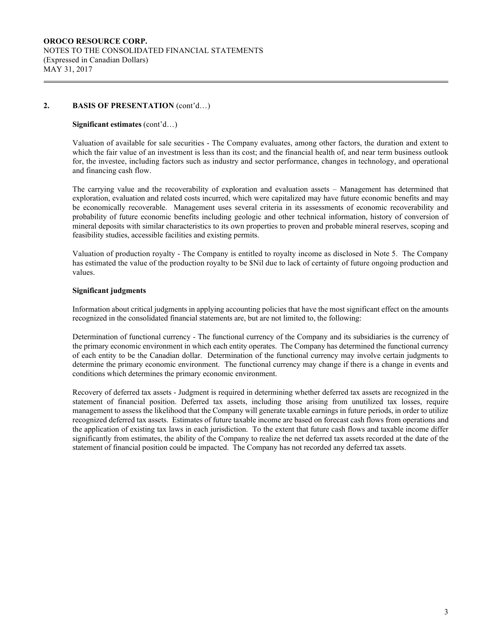## **2. BASIS OF PRESENTATION** (cont'd…)

#### **Significant estimates** (cont'd…)

Valuation of available for sale securities - The Company evaluates, among other factors, the duration and extent to which the fair value of an investment is less than its cost; and the financial health of, and near term business outlook for, the investee, including factors such as industry and sector performance, changes in technology, and operational and financing cash flow.

The carrying value and the recoverability of exploration and evaluation assets – Management has determined that exploration, evaluation and related costs incurred, which were capitalized may have future economic benefits and may be economically recoverable. Management uses several criteria in its assessments of economic recoverability and probability of future economic benefits including geologic and other technical information, history of conversion of mineral deposits with similar characteristics to its own properties to proven and probable mineral reserves, scoping and feasibility studies, accessible facilities and existing permits.

Valuation of production royalty - The Company is entitled to royalty income as disclosed in Note 5. The Company has estimated the value of the production royalty to be \$Nil due to lack of certainty of future ongoing production and values.

## **Significant judgments**

Information about critical judgments in applying accounting policies that have the most significant effect on the amounts recognized in the consolidated financial statements are, but are not limited to, the following:

Determination of functional currency - The functional currency of the Company and its subsidiaries is the currency of the primary economic environment in which each entity operates. The Company has determined the functional currency of each entity to be the Canadian dollar. Determination of the functional currency may involve certain judgments to determine the primary economic environment. The functional currency may change if there is a change in events and conditions which determines the primary economic environment.

Recovery of deferred tax assets - Judgment is required in determining whether deferred tax assets are recognized in the statement of financial position. Deferred tax assets, including those arising from unutilized tax losses, require management to assess the likelihood that the Company will generate taxable earnings in future periods, in order to utilize recognized deferred tax assets. Estimates of future taxable income are based on forecast cash flows from operations and the application of existing tax laws in each jurisdiction. To the extent that future cash flows and taxable income differ significantly from estimates, the ability of the Company to realize the net deferred tax assets recorded at the date of the statement of financial position could be impacted. The Company has not recorded any deferred tax assets.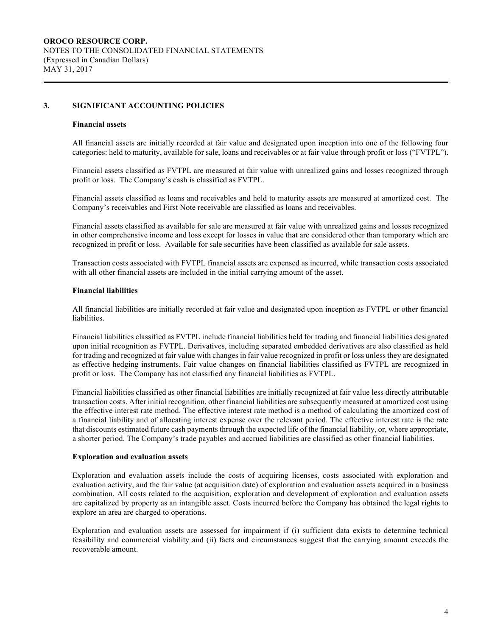## **3. SIGNIFICANT ACCOUNTING POLICIES**

#### **Financial assets**

All financial assets are initially recorded at fair value and designated upon inception into one of the following four categories: held to maturity, available for sale, loans and receivables or at fair value through profit or loss ("FVTPL").

Financial assets classified as FVTPL are measured at fair value with unrealized gains and losses recognized through profit or loss. The Company's cash is classified as FVTPL.

Financial assets classified as loans and receivables and held to maturity assets are measured at amortized cost. The Company's receivables and First Note receivable are classified as loans and receivables.

Financial assets classified as available for sale are measured at fair value with unrealized gains and losses recognized in other comprehensive income and loss except for losses in value that are considered other than temporary which are recognized in profit or loss. Available for sale securities have been classified as available for sale assets.

Transaction costs associated with FVTPL financial assets are expensed as incurred, while transaction costs associated with all other financial assets are included in the initial carrying amount of the asset.

#### **Financial liabilities**

All financial liabilities are initially recorded at fair value and designated upon inception as FVTPL or other financial liabilities.

Financial liabilities classified as FVTPL include financial liabilities held for trading and financial liabilities designated upon initial recognition as FVTPL. Derivatives, including separated embedded derivatives are also classified as held for trading and recognized at fair value with changes in fair value recognized in profit or loss unless they are designated as effective hedging instruments. Fair value changes on financial liabilities classified as FVTPL are recognized in profit or loss. The Company has not classified any financial liabilities as FVTPL.

Financial liabilities classified as other financial liabilities are initially recognized at fair value less directly attributable transaction costs. After initial recognition, other financial liabilities are subsequently measured at amortized cost using the effective interest rate method. The effective interest rate method is a method of calculating the amortized cost of a financial liability and of allocating interest expense over the relevant period. The effective interest rate is the rate that discounts estimated future cash payments through the expected life of the financial liability, or, where appropriate, a shorter period. The Company's trade payables and accrued liabilities are classified as other financial liabilities.

#### **Exploration and evaluation assets**

Exploration and evaluation assets include the costs of acquiring licenses, costs associated with exploration and evaluation activity, and the fair value (at acquisition date) of exploration and evaluation assets acquired in a business combination. All costs related to the acquisition, exploration and development of exploration and evaluation assets are capitalized by property as an intangible asset. Costs incurred before the Company has obtained the legal rights to explore an area are charged to operations.

Exploration and evaluation assets are assessed for impairment if (i) sufficient data exists to determine technical feasibility and commercial viability and (ii) facts and circumstances suggest that the carrying amount exceeds the recoverable amount.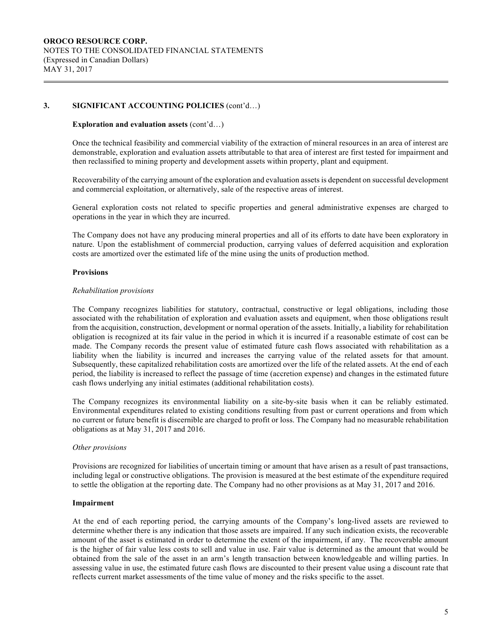#### **Exploration and evaluation assets** (cont'd…)

Once the technical feasibility and commercial viability of the extraction of mineral resources in an area of interest are demonstrable, exploration and evaluation assets attributable to that area of interest are first tested for impairment and then reclassified to mining property and development assets within property, plant and equipment.

Recoverability of the carrying amount of the exploration and evaluation assets is dependent on successful development and commercial exploitation, or alternatively, sale of the respective areas of interest.

General exploration costs not related to specific properties and general administrative expenses are charged to operations in the year in which they are incurred.

The Company does not have any producing mineral properties and all of its efforts to date have been exploratory in nature. Upon the establishment of commercial production, carrying values of deferred acquisition and exploration costs are amortized over the estimated life of the mine using the units of production method.

## **Provisions**

#### *Rehabilitation provisions*

The Company recognizes liabilities for statutory, contractual, constructive or legal obligations, including those associated with the rehabilitation of exploration and evaluation assets and equipment, when those obligations result from the acquisition, construction, development or normal operation of the assets. Initially, a liability for rehabilitation obligation is recognized at its fair value in the period in which it is incurred if a reasonable estimate of cost can be made. The Company records the present value of estimated future cash flows associated with rehabilitation as a liability when the liability is incurred and increases the carrying value of the related assets for that amount. Subsequently, these capitalized rehabilitation costs are amortized over the life of the related assets. At the end of each period, the liability is increased to reflect the passage of time (accretion expense) and changes in the estimated future cash flows underlying any initial estimates (additional rehabilitation costs).

The Company recognizes its environmental liability on a site-by-site basis when it can be reliably estimated. Environmental expenditures related to existing conditions resulting from past or current operations and from which no current or future benefit is discernible are charged to profit or loss. The Company had no measurable rehabilitation obligations as at May 31, 2017 and 2016.

#### *Other provisions*

Provisions are recognized for liabilities of uncertain timing or amount that have arisen as a result of past transactions, including legal or constructive obligations. The provision is measured at the best estimate of the expenditure required to settle the obligation at the reporting date. The Company had no other provisions as at May 31, 2017 and 2016.

#### **Impairment**

At the end of each reporting period, the carrying amounts of the Company's long-lived assets are reviewed to determine whether there is any indication that those assets are impaired. If any such indication exists, the recoverable amount of the asset is estimated in order to determine the extent of the impairment, if any. The recoverable amount is the higher of fair value less costs to sell and value in use. Fair value is determined as the amount that would be obtained from the sale of the asset in an arm's length transaction between knowledgeable and willing parties. In assessing value in use, the estimated future cash flows are discounted to their present value using a discount rate that reflects current market assessments of the time value of money and the risks specific to the asset.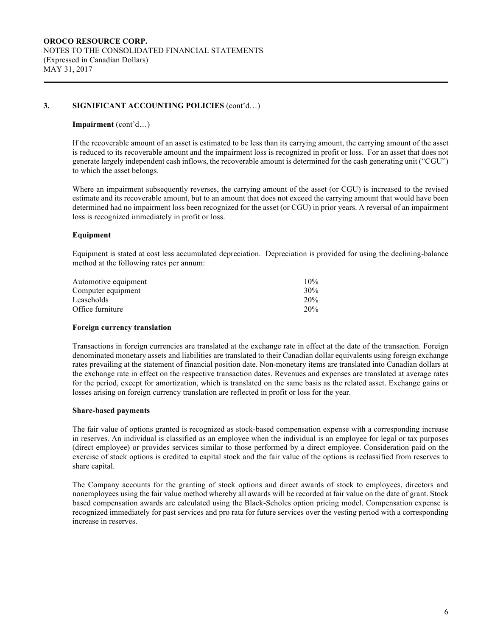#### **Impairment** (cont'd…)

If the recoverable amount of an asset is estimated to be less than its carrying amount, the carrying amount of the asset is reduced to its recoverable amount and the impairment loss is recognized in profit or loss. For an asset that does not generate largely independent cash inflows, the recoverable amount is determined for the cash generating unit ("CGU") to which the asset belongs.

Where an impairment subsequently reverses, the carrying amount of the asset (or CGU) is increased to the revised estimate and its recoverable amount, but to an amount that does not exceed the carrying amount that would have been determined had no impairment loss been recognized for the asset (or CGU) in prior years. A reversal of an impairment loss is recognized immediately in profit or loss.

## **Equipment**

Equipment is stated at cost less accumulated depreciation. Depreciation is provided for using the declining-balance method at the following rates per annum:

| Automotive equipment | $10\%$ |
|----------------------|--------|
| Computer equipment   | 30%    |
| Leaseholds           | 20%    |
| Office furniture     | 20%    |

#### **Foreign currency translation**

Transactions in foreign currencies are translated at the exchange rate in effect at the date of the transaction. Foreign denominated monetary assets and liabilities are translated to their Canadian dollar equivalents using foreign exchange rates prevailing at the statement of financial position date. Non-monetary items are translated into Canadian dollars at the exchange rate in effect on the respective transaction dates. Revenues and expenses are translated at average rates for the period, except for amortization, which is translated on the same basis as the related asset. Exchange gains or losses arising on foreign currency translation are reflected in profit or loss for the year.

#### **Share-based payments**

The fair value of options granted is recognized as stock-based compensation expense with a corresponding increase in reserves. An individual is classified as an employee when the individual is an employee for legal or tax purposes (direct employee) or provides services similar to those performed by a direct employee. Consideration paid on the exercise of stock options is credited to capital stock and the fair value of the options is reclassified from reserves to share capital.

The Company accounts for the granting of stock options and direct awards of stock to employees, directors and nonemployees using the fair value method whereby all awards will be recorded at fair value on the date of grant. Stock based compensation awards are calculated using the Black-Scholes option pricing model. Compensation expense is recognized immediately for past services and pro rata for future services over the vesting period with a corresponding increase in reserves.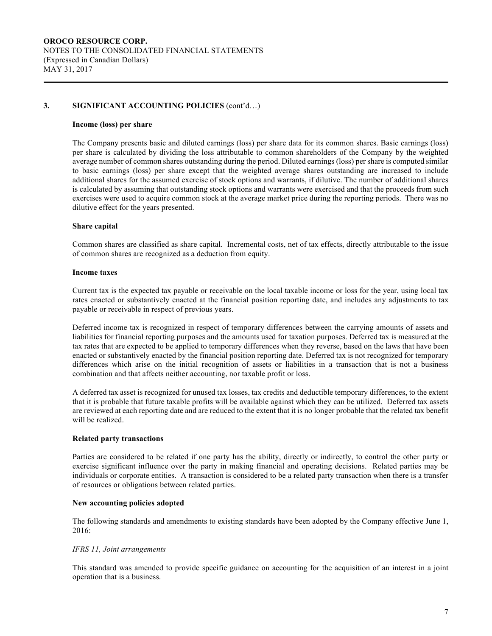#### **Income (loss) per share**

The Company presents basic and diluted earnings (loss) per share data for its common shares. Basic earnings (loss) per share is calculated by dividing the loss attributable to common shareholders of the Company by the weighted average number of common shares outstanding during the period. Diluted earnings (loss) per share is computed similar to basic earnings (loss) per share except that the weighted average shares outstanding are increased to include additional shares for the assumed exercise of stock options and warrants, if dilutive. The number of additional shares is calculated by assuming that outstanding stock options and warrants were exercised and that the proceeds from such exercises were used to acquire common stock at the average market price during the reporting periods. There was no dilutive effect for the years presented.

#### **Share capital**

Common shares are classified as share capital. Incremental costs, net of tax effects, directly attributable to the issue of common shares are recognized as a deduction from equity.

#### **Income taxes**

Current tax is the expected tax payable or receivable on the local taxable income or loss for the year, using local tax rates enacted or substantively enacted at the financial position reporting date, and includes any adjustments to tax payable or receivable in respect of previous years.

Deferred income tax is recognized in respect of temporary differences between the carrying amounts of assets and liabilities for financial reporting purposes and the amounts used for taxation purposes. Deferred tax is measured at the tax rates that are expected to be applied to temporary differences when they reverse, based on the laws that have been enacted or substantively enacted by the financial position reporting date. Deferred tax is not recognized for temporary differences which arise on the initial recognition of assets or liabilities in a transaction that is not a business combination and that affects neither accounting, nor taxable profit or loss.

A deferred tax asset is recognized for unused tax losses, tax credits and deductible temporary differences, to the extent that it is probable that future taxable profits will be available against which they can be utilized. Deferred tax assets are reviewed at each reporting date and are reduced to the extent that it is no longer probable that the related tax benefit will be realized.

#### **Related party transactions**

Parties are considered to be related if one party has the ability, directly or indirectly, to control the other party or exercise significant influence over the party in making financial and operating decisions. Related parties may be individuals or corporate entities. A transaction is considered to be a related party transaction when there is a transfer of resources or obligations between related parties.

#### **New accounting policies adopted**

The following standards and amendments to existing standards have been adopted by the Company effective June 1, 2016:

#### *IFRS 11, Joint arrangements*

This standard was amended to provide specific guidance on accounting for the acquisition of an interest in a joint operation that is a business.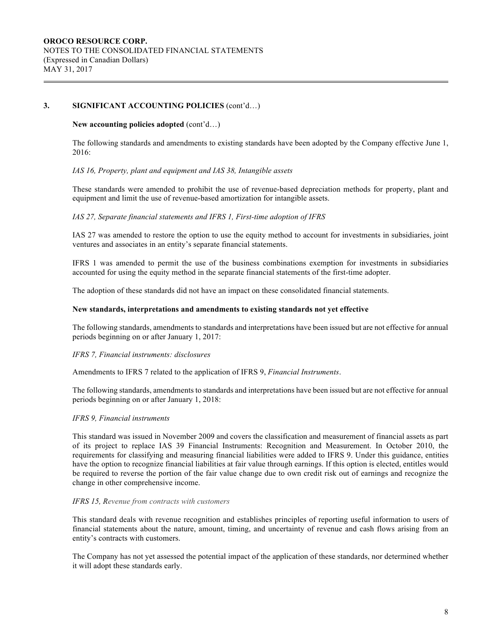#### **New accounting policies adopted** (cont'd…)

The following standards and amendments to existing standards have been adopted by the Company effective June 1, 2016:

## *IAS 16, Property, plant and equipment and IAS 38, Intangible assets*

These standards were amended to prohibit the use of revenue-based depreciation methods for property, plant and equipment and limit the use of revenue-based amortization for intangible assets.

## *IAS 27, Separate financial statements and IFRS 1, First-time adoption of IFRS*

IAS 27 was amended to restore the option to use the equity method to account for investments in subsidiaries, joint ventures and associates in an entity's separate financial statements.

IFRS 1 was amended to permit the use of the business combinations exemption for investments in subsidiaries accounted for using the equity method in the separate financial statements of the first-time adopter.

The adoption of these standards did not have an impact on these consolidated financial statements.

## **New standards, interpretations and amendments to existing standards not yet effective**

The following standards, amendments to standards and interpretations have been issued but are not effective for annual periods beginning on or after January 1, 2017:

## *IFRS 7, Financial instruments: disclosures*

Amendments to IFRS 7 related to the application of IFRS 9, *Financial Instruments*.

The following standards, amendments to standards and interpretations have been issued but are not effective for annual periods beginning on or after January 1, 2018:

## *IFRS 9, Financial instruments*

This standard was issued in November 2009 and covers the classification and measurement of financial assets as part of its project to replace IAS 39 Financial Instruments: Recognition and Measurement. In October 2010, the requirements for classifying and measuring financial liabilities were added to IFRS 9. Under this guidance, entities have the option to recognize financial liabilities at fair value through earnings. If this option is elected, entitles would be required to reverse the portion of the fair value change due to own credit risk out of earnings and recognize the change in other comprehensive income.

#### *IFRS 15, Revenue from contracts with customers*

This standard deals with revenue recognition and establishes principles of reporting useful information to users of financial statements about the nature, amount, timing, and uncertainty of revenue and cash flows arising from an entity's contracts with customers.

The Company has not yet assessed the potential impact of the application of these standards, nor determined whether it will adopt these standards early.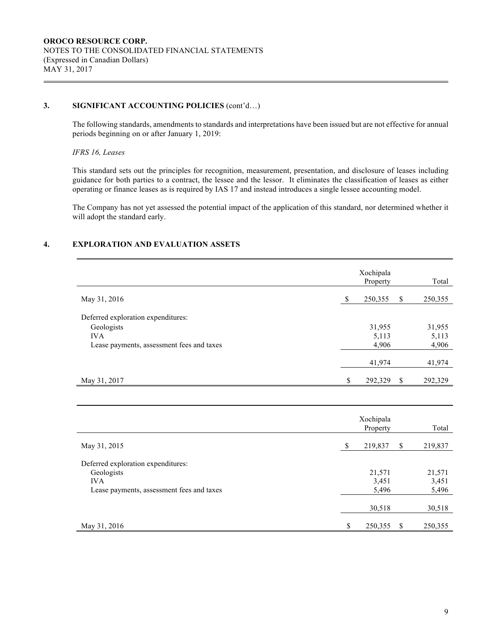The following standards, amendments to standards and interpretations have been issued but are not effective for annual periods beginning on or after January 1, 2019:

## *IFRS 16, Leases*

This standard sets out the principles for recognition, measurement, presentation, and disclosure of leases including guidance for both parties to a contract, the lessee and the lessor. It eliminates the classification of leases as either operating or finance leases as is required by IAS 17 and instead introduces a single lessee accounting model.

The Company has not yet assessed the potential impact of the application of this standard, nor determined whether it will adopt the standard early.

## **4. EXPLORATION AND EVALUATION ASSETS**

|                                                                                                             |    | Xochipala<br>Property    |               | Total                    |
|-------------------------------------------------------------------------------------------------------------|----|--------------------------|---------------|--------------------------|
| May 31, 2016                                                                                                | S  | 250,355                  | <sup>\$</sup> | 250,355                  |
| Deferred exploration expenditures:<br>Geologists<br><b>IVA</b><br>Lease payments, assessment fees and taxes |    | 31,955<br>5,113<br>4,906 |               | 31,955<br>5,113<br>4,906 |
|                                                                                                             |    | 41,974                   |               | 41,974                   |
| May 31, 2017                                                                                                | \$ | 292,329                  | S             | 292,329                  |

|                                                                |    | Xochipala<br>Property |   | Total           |
|----------------------------------------------------------------|----|-----------------------|---|-----------------|
| May 31, 2015                                                   | -S | 219,837               | S | 219,837         |
| Deferred exploration expenditures:<br>Geologists<br><b>IVA</b> |    | 21,571<br>3,451       |   | 21,571<br>3,451 |
| Lease payments, assessment fees and taxes                      |    | 5,496                 |   | 5,496           |
|                                                                |    | 30,518                |   | 30,518          |
| May 31, 2016                                                   | \$ | 250,355               |   | 250,355         |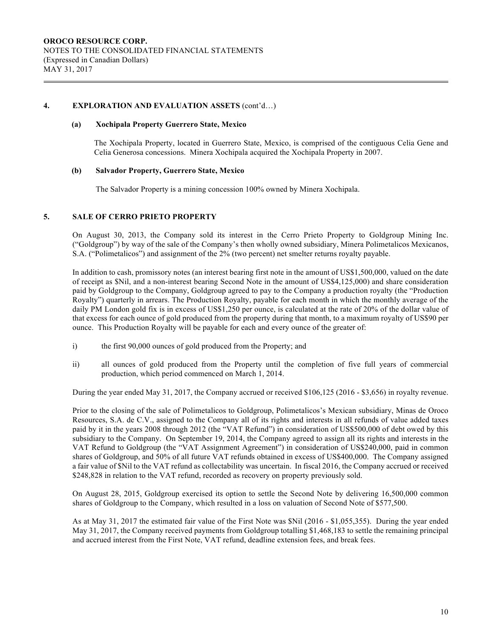## **4. EXPLORATION AND EVALUATION ASSETS** (cont'd…)

#### **(a) Xochipala Property Guerrero State, Mexico**

The Xochipala Property, located in Guerrero State, Mexico, is comprised of the contiguous Celia Gene and Celia Generosa concessions. Minera Xochipala acquired the Xochipala Property in 2007.

#### **(b) Salvador Property, Guerrero State, Mexico**

The Salvador Property is a mining concession 100% owned by Minera Xochipala.

## **5. SALE OF CERRO PRIETO PROPERTY**

On August 30, 2013, the Company sold its interest in the Cerro Prieto Property to Goldgroup Mining Inc. ("Goldgroup") by way of the sale of the Company's then wholly owned subsidiary, Minera Polimetalicos Mexicanos, S.A. ("Polimetalicos") and assignment of the 2% (two percent) net smelter returns royalty payable.

In addition to cash, promissory notes (an interest bearing first note in the amount of US\$1,500,000, valued on the date of receipt as \$Nil, and a non-interest bearing Second Note in the amount of US\$4,125,000) and share consideration paid by Goldgroup to the Company, Goldgroup agreed to pay to the Company a production royalty (the "Production Royalty") quarterly in arrears. The Production Royalty, payable for each month in which the monthly average of the daily PM London gold fix is in excess of US\$1,250 per ounce, is calculated at the rate of 20% of the dollar value of that excess for each ounce of gold produced from the property during that month, to a maximum royalty of US\$90 per ounce. This Production Royalty will be payable for each and every ounce of the greater of:

- i) the first 90,000 ounces of gold produced from the Property; and
- ii) all ounces of gold produced from the Property until the completion of five full years of commercial production, which period commenced on March 1, 2014.

During the year ended May 31, 2017, the Company accrued or received \$106,125 (2016 - \$3,656) in royalty revenue.

Prior to the closing of the sale of Polimetalicos to Goldgroup, Polimetalicos's Mexican subsidiary, Minas de Oroco Resources, S.A. de C.V., assigned to the Company all of its rights and interests in all refunds of value added taxes paid by it in the years 2008 through 2012 (the "VAT Refund") in consideration of US\$500,000 of debt owed by this subsidiary to the Company. On September 19, 2014, the Company agreed to assign all its rights and interests in the VAT Refund to Goldgroup (the "VAT Assignment Agreement") in consideration of US\$240,000, paid in common shares of Goldgroup, and 50% of all future VAT refunds obtained in excess of US\$400,000. The Company assigned a fair value of \$Nil to the VAT refund as collectability was uncertain. In fiscal 2016, the Company accrued or received \$248,828 in relation to the VAT refund, recorded as recovery on property previously sold.

On August 28, 2015, Goldgroup exercised its option to settle the Second Note by delivering 16,500,000 common shares of Goldgroup to the Company, which resulted in a loss on valuation of Second Note of \$577,500.

As at May 31, 2017 the estimated fair value of the First Note was \$Nil (2016 - \$1,055,355). During the year ended May 31, 2017, the Company received payments from Goldgroup totalling \$1,468,183 to settle the remaining principal and accrued interest from the First Note, VAT refund, deadline extension fees, and break fees.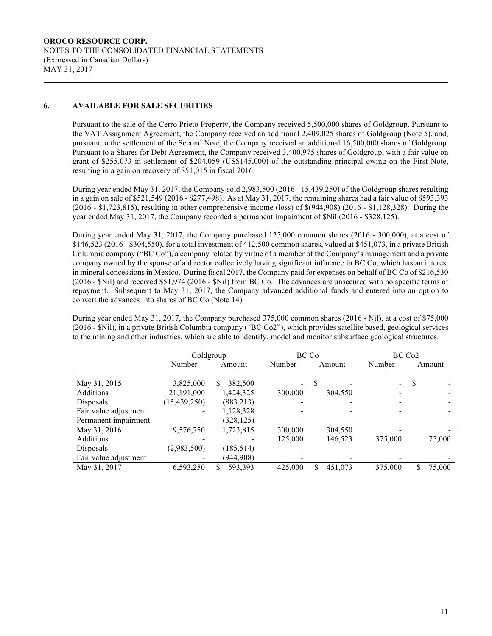## **6. AVAILABLE FOR SALE SECURITIES**

Pursuant to the sale of the Cerro Prieto Property, the Company received 5,500,000 shares of Goldgroup. Pursuant to the VAT Assignment Agreement, the Company received an additional 2,409,025 shares of Goldgroup (Note 5), and, pursuant to the settlement of the Second Note, the Company received an additional 16,500,000 shares of Goldgroup. Pursuant to a Shares for Debt Agreement, the Company received 3,400,975 shares of Goldgroup, with a fair value on grant of \$255,073 in settlement of \$204,059 (US\$145,000) of the outstanding principal owing on the First Note, resulting in a gain on recovery of \$51,015 in fiscal 2016.

During year ended May 31, 2017, the Company sold 2,983,500 (2016 - 15,439,250) of the Goldgroup shares resulting in a gain on sale of \$521,549 (2016 - \$277,498). As at May 31, 2017, the remaining shares had a fair value of \$593,393 (2016 - \$1,723,815), resulting in other comprehensive income (loss) of \$(944,908) (2016 - \$1,128,328). During the year ended May 31, 2017, the Company recorded a permanent impairment of \$Nil (2016 - \$328,125).

During year ended May 31, 2017, the Company purchased 125,000 common shares (2016 - 300,000), at a cost of \$146,523 (2016 - \$304,550), for a total investment of 412,500 common shares, valued at \$451,073, in a private British Columbia company ("BC Co"), a company related by virtue of a member of the Company's management and a private company owned by the spouse of a director collectively having significant influence in BC Co, which has an interest in mineral concessions in Mexico. During fiscal 2017, the Company paid for expenses on behalf of BC Co of \$216,530 (2016 - \$Nil) and received \$51,974 (2016 - \$Nil) from BC Co. The advances are unsecured with no specific terms of repayment. Subsequent to May 31, 2017, the Company advanced additional funds and entered into an option to convert the advances into shares of BC Co (Note 14).

During year ended May 31, 2017, the Company purchased 375,000 common shares (2016 - Nil), at a cost of \$75,000 (2016 - \$Nil), in a private British Columbia company ("BC Co2"), which provides satellite based, geological services to the mining and other industries, which are able to identify, model and monitor subsurface geological structures.

|                       | Goldgroup                |                | BC Co   |         | BC Co <sub>2</sub> |        |
|-----------------------|--------------------------|----------------|---------|---------|--------------------|--------|
|                       | Number                   | Amount         | Number  | Amount  | Number             | Amount |
|                       |                          |                |         |         |                    |        |
| May 31, 2015          | 3,825,000                | 382,500<br>\$. |         | S       |                    |        |
| Additions             | 21,191,000               | 1,424,325      | 300,000 | 304,550 |                    |        |
| Disposals             | (15, 439, 250)           | (883,213)      |         |         |                    |        |
| Fair value adjustment | $\overline{\phantom{a}}$ | 1,128,328      |         |         |                    |        |
| Permanent impairment  | -                        | (328, 125)     |         |         |                    |        |
| May 31, 2016          | 9,576,750                | 1,723,815      | 300,000 | 304,550 |                    |        |
| Additions             |                          |                | 125,000 | 146,523 | 375,000            | 75,000 |
| Disposals             | (2,983,500)              | (185, 514)     |         |         |                    |        |
| Fair value adjustment |                          | (944,908)      |         |         |                    |        |
| May 31, 2017          | 6,593,250                | 593,393        | 425,000 | 451,073 | 375,000            | 75,000 |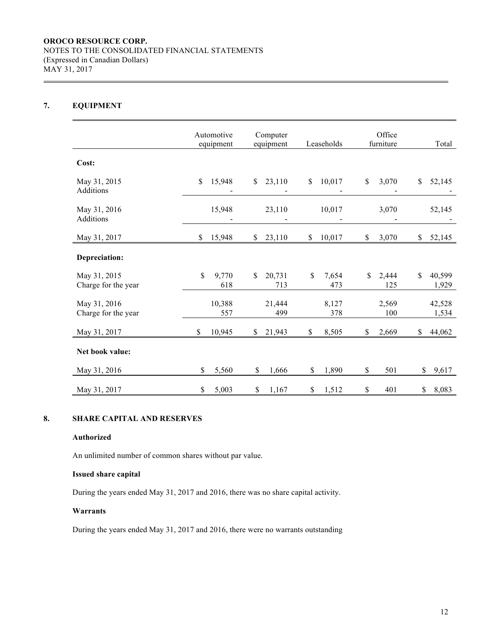# **7. EQUIPMENT**

|                                     | Automotive<br>equipment | Computer<br>equipment         | Leaseholds                   | Office<br>furniture | Total                 |
|-------------------------------------|-------------------------|-------------------------------|------------------------------|---------------------|-----------------------|
| Cost:                               |                         |                               |                              |                     |                       |
| May 31, 2015                        | $\mathbf S$             | $\mathbb{S}$                  | \$                           | \$                  | $\mathbf S$           |
| Additions                           | 15,948                  | 23,110                        | 10,017                       | 3,070               | 52,145                |
| May 31, 2016<br>Additions           | 15,948                  | 23,110                        | 10,017                       | 3,070               | 52,145                |
| May 31, 2017                        | $\$$                    | \$                            | \$                           | 3,070               | 52,145                |
|                                     | 15,948                  | 23,110                        | 10,017                       | \$                  | \$                    |
| Depreciation:                       |                         |                               |                              |                     |                       |
| May 31, 2015<br>Charge for the year | \$<br>9,770<br>618      | $\mathbb{S}$<br>20,731<br>713 | $\mathbb{S}$<br>7,654<br>473 | \$<br>2,444<br>125  | \$<br>40,599<br>1,929 |
| May 31, 2016                        | 10,388                  | 21,444                        | 8,127                        | 2,569               | 42,528                |
| Charge for the year                 | 557                     | 499                           | 378                          | 100                 | 1,534                 |
| May 31, 2017                        | \$                      | \$                            | \$                           | 2,669               | \$                    |
|                                     | 10,945                  | 21,943                        | 8,505                        | \$                  | 44,062                |
| Net book value:                     |                         |                               |                              |                     |                       |
| May 31, 2016                        | \$                      | \$                            | $\mathbb{S}$                 | \$                  | \$                    |
|                                     | 5,560                   | 1,666                         | 1,890                        | 501                 | 9,617                 |
| May 31, 2017                        | \$                      | \$                            | \$                           | \$                  | \$                    |
|                                     | 5,003                   | 1,167                         | 1,512                        | 401                 | 8,083                 |

## **8. SHARE CAPITAL AND RESERVES**

## **Authorized**

An unlimited number of common shares without par value.

# **Issued share capital**

During the years ended May 31, 2017 and 2016, there was no share capital activity.

## **Warrants**

During the years ended May 31, 2017 and 2016, there were no warrants outstanding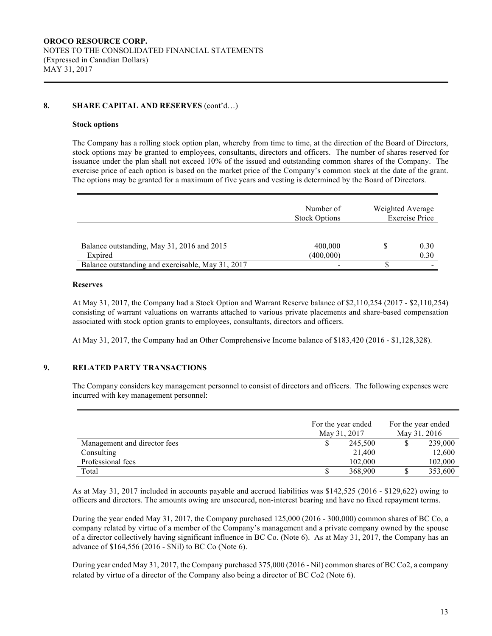## **8. SHARE CAPITAL AND RESERVES** (cont'd…)

#### **Stock options**

The Company has a rolling stock option plan, whereby from time to time, at the direction of the Board of Directors, stock options may be granted to employees, consultants, directors and officers. The number of shares reserved for issuance under the plan shall not exceed 10% of the issued and outstanding common shares of the Company. The exercise price of each option is based on the market price of the Company's common stock at the date of the grant. The options may be granted for a maximum of five years and vesting is determined by the Board of Directors.

|                                                       | Number of<br><b>Stock Options</b> | Weighted Average<br><b>Exercise Price</b> |  |
|-------------------------------------------------------|-----------------------------------|-------------------------------------------|--|
| Balance outstanding, May 31, 2016 and 2015<br>Expired | 400,000<br>(400,000)              | 0.30<br>0.30                              |  |
| Balance outstanding and exercisable, May 31, 2017     |                                   |                                           |  |

#### **Reserves**

At May 31, 2017, the Company had a Stock Option and Warrant Reserve balance of \$2,110,254 (2017 - \$2,110,254) consisting of warrant valuations on warrants attached to various private placements and share-based compensation associated with stock option grants to employees, consultants, directors and officers.

At May 31, 2017, the Company had an Other Comprehensive Income balance of \$183,420 (2016 - \$1,128,328).

#### **9. RELATED PARTY TRANSACTIONS**

The Company considers key management personnel to consist of directors and officers. The following expenses were incurred with key management personnel:

|                              | For the year ended<br>May 31, 2017 |  | For the year ended<br>May 31, 2016 |  |
|------------------------------|------------------------------------|--|------------------------------------|--|
| Management and director fees | 245,500                            |  | 239,000                            |  |
| Consulting                   | 21,400                             |  | 12,600                             |  |
| Professional fees            | 102,000                            |  | 102,000                            |  |
| Total                        | 368,900                            |  | 353,600                            |  |

As at May 31, 2017 included in accounts payable and accrued liabilities was \$142,525 (2016 - \$129,622) owing to officers and directors. The amounts owing are unsecured, non-interest bearing and have no fixed repayment terms.

During the year ended May 31, 2017, the Company purchased 125,000 (2016 - 300,000) common shares of BC Co, a company related by virtue of a member of the Company's management and a private company owned by the spouse of a director collectively having significant influence in BC Co. (Note 6). As at May 31, 2017, the Company has an advance of \$164,556 (2016 - \$Nil) to BC Co (Note 6).

During year ended May 31, 2017, the Company purchased 375,000 (2016 - Nil) common shares of BC Co2, a company related by virtue of a director of the Company also being a director of BC Co2 (Note 6).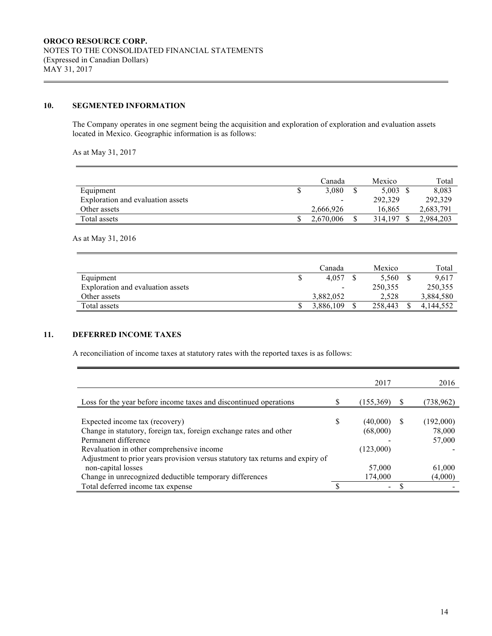# **10. SEGMENTED INFORMATION**

The Company operates in one segment being the acquisition and exploration of exploration and evaluation assets located in Mexico. Geographic information is as follows:

As at May 31, 2017

|                                   | Canada                   | Mexico     | Total     |
|-----------------------------------|--------------------------|------------|-----------|
| Equipment                         | 3,080                    | $5,003$ \$ | 8,083     |
| Exploration and evaluation assets | $\overline{\phantom{a}}$ | 292,329    | 292,329   |
| Other assets                      | 2,666,926                | 16.865     | 2,683,791 |
| Total assets                      | 2,670,006                | 314.197    | 2,984,203 |

As at May 31, 2016

|                                   | Canada                   | Mexico  | Total     |
|-----------------------------------|--------------------------|---------|-----------|
| Equipment                         | 4.057                    | 5,560   | 9,617     |
| Exploration and evaluation assets | $\overline{\phantom{a}}$ | 250,355 | 250,355   |
| Other assets                      | 3,882,052                | 2.528   | 3,884,580 |
| Total assets                      | 3,886,109                | 258,443 | 4.144.552 |

## **11. DEFERRED INCOME TAXES**

A reconciliation of income taxes at statutory rates with the reported taxes is as follows:

|                                                                                                                                                                                                                                                             | 2017                                          |   | 2016                          |
|-------------------------------------------------------------------------------------------------------------------------------------------------------------------------------------------------------------------------------------------------------------|-----------------------------------------------|---|-------------------------------|
| Loss for the year before income taxes and discontinued operations                                                                                                                                                                                           | (155, 369)                                    | S | (738, 962)                    |
| Expected income tax (recovery)<br>Change in statutory, foreign tax, foreign exchange rates and other<br>Permanent difference<br>Revaluation in other comprehensive income<br>Adjustment to prior years provision versus statutory tax returns and expiry of | (40,000)<br>(68,000)<br>(123,000)             | S | (192,000)<br>78,000<br>57,000 |
| non-capital losses<br>Change in unrecognized deductible temporary differences<br>Total deferred income tax expense                                                                                                                                          | 57,000<br>174,000<br>$\overline{\phantom{a}}$ |   | 61,000<br>(4,000)             |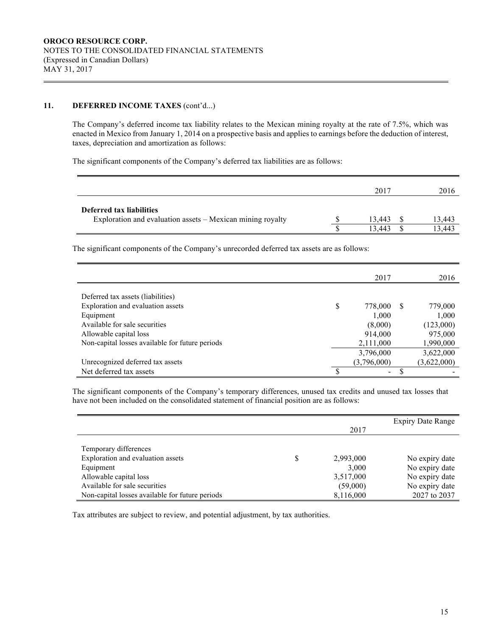# **11. DEFERRED INCOME TAXES** (cont'd...)

The Company's deferred income tax liability relates to the Mexican mining royalty at the rate of 7.5%, which was enacted in Mexico from January 1, 2014 on a prospective basis and applies to earnings before the deduction of interest, taxes, depreciation and amortization as follows:

The significant components of the Company's deferred tax liabilities are as follows:

|                                                                                        | 2017   | 2016   |
|----------------------------------------------------------------------------------------|--------|--------|
| Deferred tax liabilities<br>Exploration and evaluation assets – Mexican mining royalty | 13.443 | 13.443 |
|                                                                                        | 13 443 | 13.443 |

The significant components of the Company's unrecorded deferred tax assets are as follows:

|                                                 | 2017                     |    |             |
|-------------------------------------------------|--------------------------|----|-------------|
|                                                 |                          |    | 2016        |
| Deferred tax assets (liabilities)               |                          |    |             |
| Exploration and evaluation assets               | \$<br>778,000            | -S | 779,000     |
| Equipment                                       | 1,000                    |    | 1,000       |
| Available for sale securities                   | (8,000)                  |    | (123,000)   |
| Allowable capital loss                          | 914,000                  |    | 975,000     |
| Non-capital losses available for future periods | 2,111,000                |    | 1,990,000   |
|                                                 | 3,796,000                |    | 3,622,000   |
| Unrecognized deferred tax assets                | (3,796,000)              |    | (3,622,000) |
| Net deferred tax assets                         | $\overline{\phantom{0}}$ |    |             |

The significant components of the Company's temporary differences, unused tax credits and unused tax losses that have not been included on the consolidated statement of financial position are as follows:

|                                                 |           | <b>Expiry Date Range</b> |
|-------------------------------------------------|-----------|--------------------------|
|                                                 | 2017      |                          |
|                                                 |           |                          |
| Temporary differences                           |           |                          |
| Exploration and evaluation assets               | 2,993,000 | No expiry date           |
| Equipment                                       | 3,000     | No expiry date           |
| Allowable capital loss                          | 3,517,000 | No expiry date           |
| Available for sale securities                   | (59,000)  | No expiry date           |
| Non-capital losses available for future periods | 8,116,000 | 2027 to 2037             |

Tax attributes are subject to review, and potential adjustment, by tax authorities.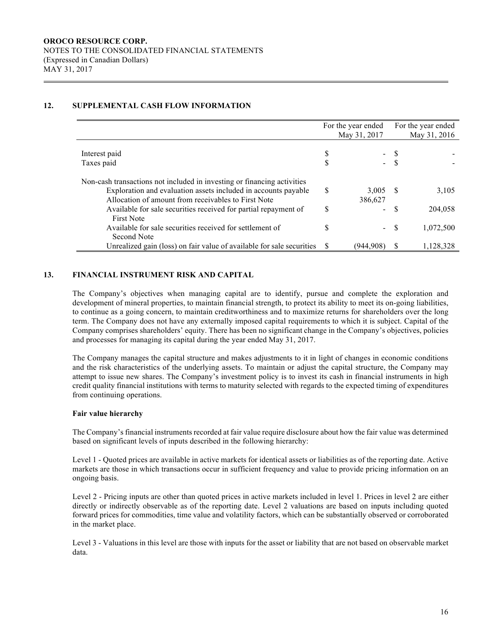# **12. SUPPLEMENTAL CASH FLOW INFORMATION**

|                                                                         |     | For the year ended       | For the year ended |           |  |
|-------------------------------------------------------------------------|-----|--------------------------|--------------------|-----------|--|
|                                                                         |     | May 31, 2017             | May 31, 2016       |           |  |
|                                                                         |     |                          |                    |           |  |
| Interest paid                                                           | \$  |                          | - S                |           |  |
| Taxes paid                                                              |     |                          |                    |           |  |
| Non-cash transactions not included in investing or financing activities |     |                          |                    |           |  |
| Exploration and evaluation assets included in accounts payable          | \$. | 3,005                    | - S                | 3,105     |  |
| Allocation of amount from receivables to First Note                     |     | 386,627                  |                    |           |  |
| Available for sale securities received for partial repayment of         | S   | $\overline{\phantom{a}}$ |                    | 204,058   |  |
| <b>First Note</b>                                                       |     |                          |                    |           |  |
| Available for sale securities received for settlement of                | S   |                          | - \$               | 1,072,500 |  |
| Second Note                                                             |     |                          |                    |           |  |
| Unrealized gain (loss) on fair value of available for sale securities   |     | (944.908)                | S                  | 1,128,328 |  |

## **13. FINANCIAL INSTRUMENT RISK AND CAPITAL**

The Company's objectives when managing capital are to identify, pursue and complete the exploration and development of mineral properties, to maintain financial strength, to protect its ability to meet its on-going liabilities, to continue as a going concern, to maintain creditworthiness and to maximize returns for shareholders over the long term. The Company does not have any externally imposed capital requirements to which it is subject. Capital of the Company comprises shareholders' equity. There has been no significant change in the Company's objectives, policies and processes for managing its capital during the year ended May 31, 2017.

The Company manages the capital structure and makes adjustments to it in light of changes in economic conditions and the risk characteristics of the underlying assets. To maintain or adjust the capital structure, the Company may attempt to issue new shares. The Company's investment policy is to invest its cash in financial instruments in high credit quality financial institutions with terms to maturity selected with regards to the expected timing of expenditures from continuing operations.

#### **Fair value hierarchy**

The Company's financial instruments recorded at fair value require disclosure about how the fair value was determined based on significant levels of inputs described in the following hierarchy:

Level 1 - Quoted prices are available in active markets for identical assets or liabilities as of the reporting date. Active markets are those in which transactions occur in sufficient frequency and value to provide pricing information on an ongoing basis.

Level 2 - Pricing inputs are other than quoted prices in active markets included in level 1. Prices in level 2 are either directly or indirectly observable as of the reporting date. Level 2 valuations are based on inputs including quoted forward prices for commodities, time value and volatility factors, which can be substantially observed or corroborated in the market place.

Level 3 - Valuations in this level are those with inputs for the asset or liability that are not based on observable market data.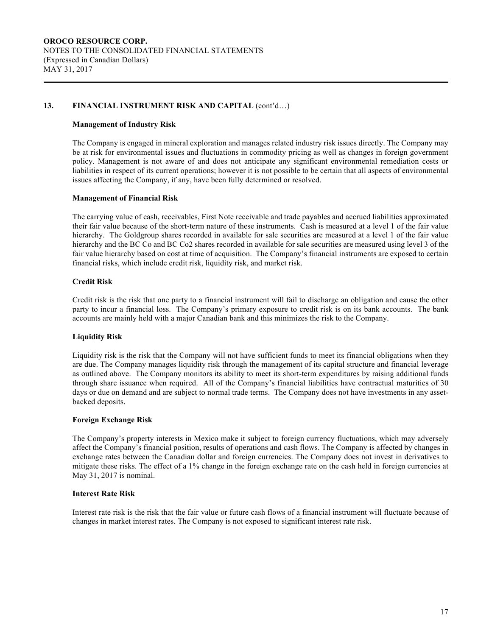## **13. FINANCIAL INSTRUMENT RISK AND CAPITAL** (cont'd…)

#### **Management of Industry Risk**

The Company is engaged in mineral exploration and manages related industry risk issues directly. The Company may be at risk for environmental issues and fluctuations in commodity pricing as well as changes in foreign government policy. Management is not aware of and does not anticipate any significant environmental remediation costs or liabilities in respect of its current operations; however it is not possible to be certain that all aspects of environmental issues affecting the Company, if any, have been fully determined or resolved.

## **Management of Financial Risk**

The carrying value of cash, receivables, First Note receivable and trade payables and accrued liabilities approximated their fair value because of the short-term nature of these instruments. Cash is measured at a level 1 of the fair value hierarchy. The Goldgroup shares recorded in available for sale securities are measured at a level 1 of the fair value hierarchy and the BC Co and BC Co2 shares recorded in available for sale securities are measured using level 3 of the fair value hierarchy based on cost at time of acquisition. The Company's financial instruments are exposed to certain financial risks, which include credit risk, liquidity risk, and market risk.

## **Credit Risk**

Credit risk is the risk that one party to a financial instrument will fail to discharge an obligation and cause the other party to incur a financial loss. The Company's primary exposure to credit risk is on its bank accounts. The bank accounts are mainly held with a major Canadian bank and this minimizes the risk to the Company.

## **Liquidity Risk**

Liquidity risk is the risk that the Company will not have sufficient funds to meet its financial obligations when they are due. The Company manages liquidity risk through the management of its capital structure and financial leverage as outlined above. The Company monitors its ability to meet its short-term expenditures by raising additional funds through share issuance when required. All of the Company's financial liabilities have contractual maturities of 30 days or due on demand and are subject to normal trade terms. The Company does not have investments in any assetbacked deposits.

#### **Foreign Exchange Risk**

The Company's property interests in Mexico make it subject to foreign currency fluctuations, which may adversely affect the Company's financial position, results of operations and cash flows. The Company is affected by changes in exchange rates between the Canadian dollar and foreign currencies. The Company does not invest in derivatives to mitigate these risks. The effect of a 1% change in the foreign exchange rate on the cash held in foreign currencies at May 31, 2017 is nominal.

#### **Interest Rate Risk**

Interest rate risk is the risk that the fair value or future cash flows of a financial instrument will fluctuate because of changes in market interest rates. The Company is not exposed to significant interest rate risk.